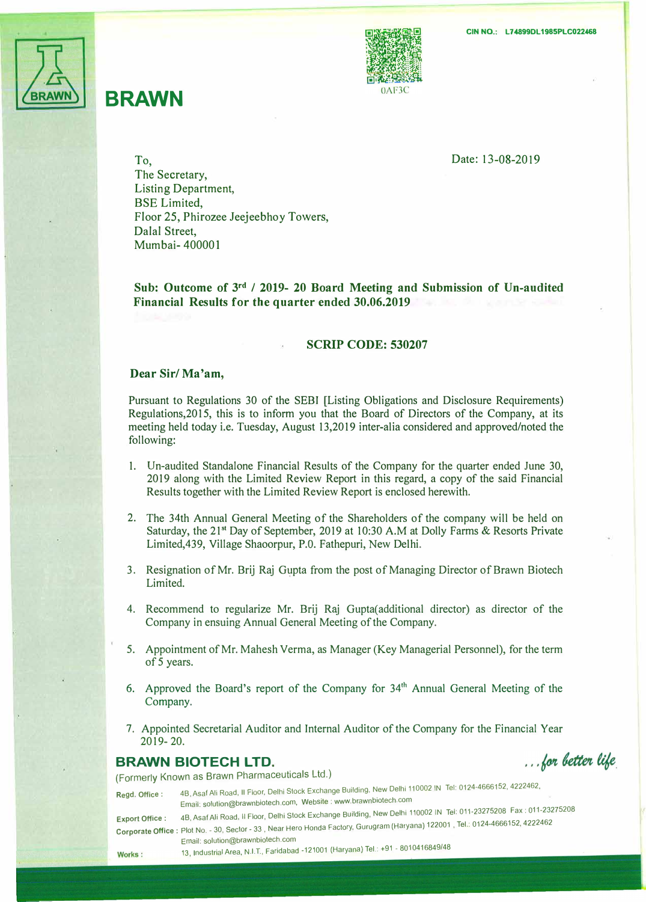

## **BRAWN**



Date: 13-08-2019

To, The Secretary, Listing Department, BSE Limited, Floor 25, Phirozee Jeejeebhoy Towers, Dalal Street, Mumbai- 400001

**Sub: Outcome of 3 rd** / **2019- 20 Board Meeting and Submission of Un-audited Financial Results for the quarter ended 30.06.2019** 

#### **SCRIP CODE: 530207**

#### **Dear Sir/ Ma'am,**

Pursuant to Regulations 30 of the SEBI [Listing Obligations and Disclosure Requirements) Regulations,2015, this is to inform you that the Board of Directors of the Company, at its meeting held today i.e. Tuesday, August 13,2019 inter-alia considered and approved/noted the following:

- 1. Un-audited Standalone Financial Results of the Company for the quarter ended June 30, 2019 along with the Limited Review Report in this regard, a copy of the said Financial Results together with the Limited Review Report is enclosed herewith.
- 2. The 34th Annual General Meeting of the Shareholders of the company will be held on Saturday, the 21**st** Day of September, 2019 at 10:30 A.M at Dolly Farms & Resorts Private Limited,439, Village Shaoorpur, P.O. Fathepuri, New Delhi.
- 3. Resignation of Mr. Brij Raj Gupta from the post of Managing Director of Brawn Biotech Limited.
- 4. Recommend to regularize Mr. Brij Raj Gupta(additional director) as director of the Company in ensuing Annual General Meeting of the Company.
- 5. Appointment of Mr. Mahesh Verma, as Manager (Key Managerial Personnel), for the term of 5 years.
- 6. Approved the Board's report of the Company for  $34<sup>th</sup>$  Annual General Meeting of the Company.
- 7. Appointed Secretarial Auditor and Internal Auditor of the Company for the Financial Year 2019- 20.

### **BRAWN BIOTECH LTD.**

... for better life

(Formerly Known as Brawn Pharmaceuticals Ltd.)

**Regd. Office:** 48, Asaf Ali Road, II Floor, Delhi Stock Exchange Building, New Delhi 110002 IN Tel: 0124-4666152, 4222462, Email: solution@brawnbiotech.com, Website : www.brawnbiotech.com **Export Office:** <sup>48</sup> , Asaf Ali Road, II Floor, Delhi Stock Exchange Building, New Delhi 110002 IN Tel: 011-23275208 Fax : 011-23275208 **Corporate Office:** Plot No. - 30, Sector - 33, Near Hero Honda Factory, Gurugram (Haryana) 122001, Tel.: 0124-4666152, 4222462

Works:

Email: solution@brawnbiotech.com 13, Industrial Area, N.I.T., Faridabad -121001 (Haryana) Tel.: +91 - 8010416849/48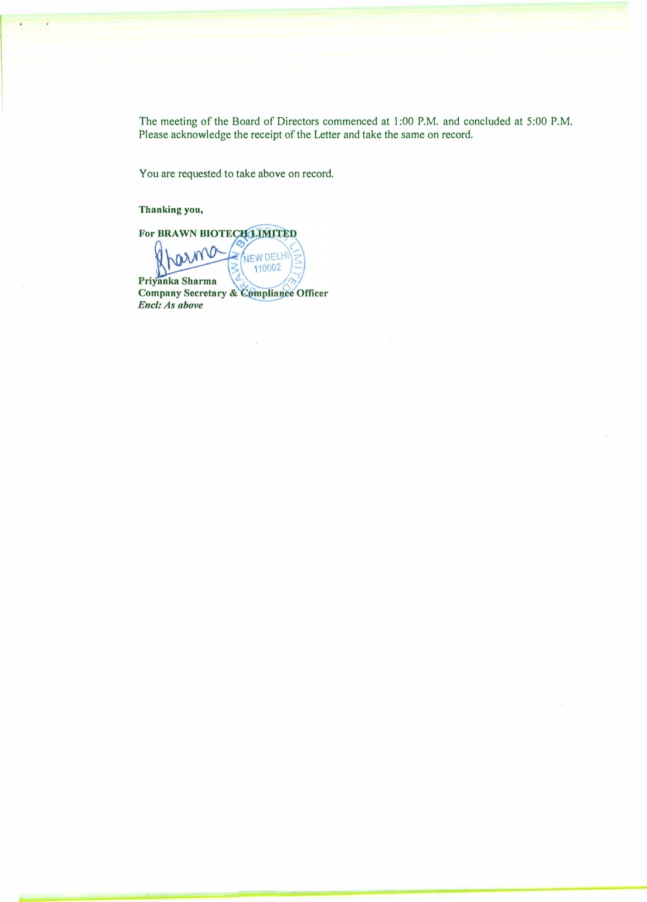The meeting of the Board of Directors commenced at 1:00 P.M. and concluded at 5:00 P.M. Please acknowledge the receipt of the Letter and take the same on record.

You are requested to take above on record.

**Thanking you,** 

For BRAWN BIOTECHLIMITED NEW DELHI 110002 Priyanka Sharma

Company Secretary & Compliance Officer **Encl:** As above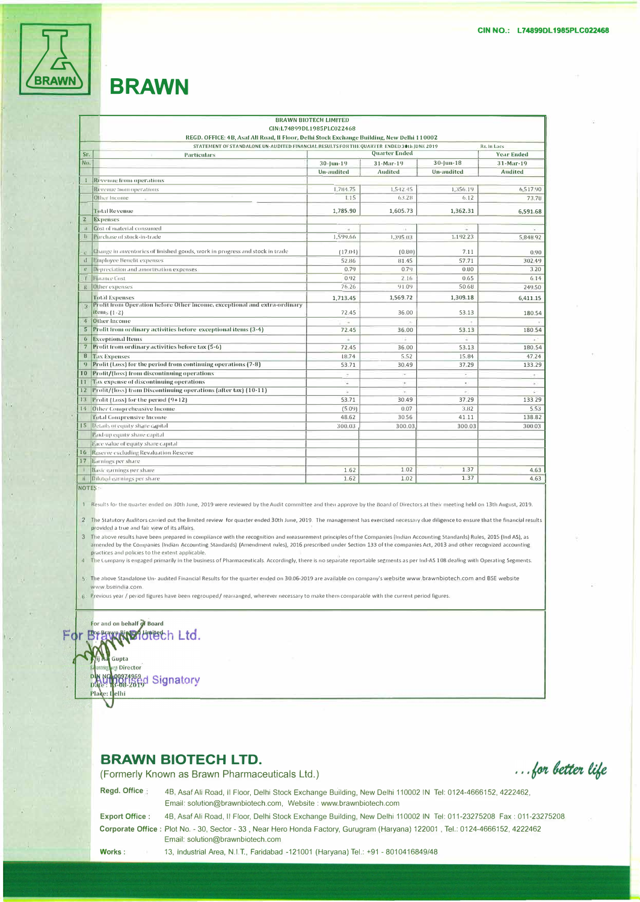

# **BRAWN**

| CIN:L74899DL1985PLC022468<br>REGD. OFFICE: 4B, Asaf All Road, II Floor, Delhi Stock Exchange Building, New Delhi 110002<br>STATEMENT OF STANDALONE UN-AUDITED FINANCIAL RESULTS FOR THE QUARTER ENDED 30th JUNE 2019<br>Rs. In Lacs<br>Quarter Ended<br><b>Year Ended</b><br>Sr.<br><b>Particulars</b><br>$30 -$ un-18<br>31-Mar-19<br>No.<br>$30 - \tan - 19$<br>31-Mar-19<br><b>Un-audited</b><br><b>Audited</b><br><b>Un-audited</b><br><b>Audited</b><br><b>Revenue from operations</b><br>-1<br>1,784.75<br>1,542.45<br>1,356.19<br>Revenue trom operations<br>6,517.90<br>Other Income<br>1.15<br>63.28<br>6.12<br>73.78<br>1,785.90<br>1,605.73<br><b>Total Revenue</b><br>1,362.31<br>6,591.68<br>$\overline{2}$<br><b>Expenses</b><br>Cost of material consumed<br>a.<br>$\Omega$<br>¥<br>$\mathbf{b}$<br>Purchase of stock-in-trade<br>1.395.03<br>1,599.66<br>1.192.23<br>5,848.92<br>c   Change in inventories of finished goods, work in progress and stock in trade<br>(17.04)<br>(0.80)<br>7.11<br>0.90<br><b>Employee Benefit expenses</b><br>$\mathbf{d}$<br>57.71<br>52.86<br>81.45<br>302.49<br>0.79<br>0.79<br>Depreciation and amortisation expenses<br>0.80<br>3.20<br>e<br><b>Finance Cost</b><br>0.65<br>0.92<br>6.14<br>2.16<br>Other expenses<br>91.09<br>50.68<br>76.26<br>249.50<br>$\mathcal{B}$<br><b>Total Expenses</b><br>1,713.45<br>1,569.72<br>1,309.18<br>6,411.15<br>Profit from Operation hefore Other Income, exceptional and extra-ordinary<br>a.<br>items $(1-2)$<br>72.45<br>36.00<br>53.13<br>180.54<br>Other Income<br>$\overline{4}$<br>5<br>Prolit from ordinary activities before exceptional items (3-4)<br>72.45<br>36.00<br>53.13<br>180.54<br><b>Exceptional Items</b><br>¥<br>6<br>7<br>Profit from ordinary activities before tax (5-6)<br>72.45<br>36.00<br>180.54<br>53.13<br>8<br>5.52<br>47.24<br><b>Tax Expenses</b><br>18.74<br>15.84<br>9 Prolit (Loss) for the period from continuing operations (7-8)<br>53.71<br>30.49<br>37.29<br>133.29<br><b>Profit/(loss)</b> from discontinuing operations<br>×<br>٠<br>×<br>Tax expense of discontinuing operations<br>$\overline{11}$<br>$\sim$<br>v.<br>×<br>p.<br>Prolit/(loss) from Discontinuing operations (after tax) (10-11)<br>$\overline{2}$<br>$\bar{a}$<br>÷<br>c<br>13<br>Prolit (Loss) for the period $(9+12)$<br>30.49<br>133.29<br>53.71<br>37.29<br>0.07<br>3.82<br>14<br>Other Comprehensive Income<br>(5.09)<br>5.53<br>48.62<br>30.56<br>41.11<br>138.82<br>Total Comprensive Income<br>Details of equity share capital<br><b>S</b><br>300.03<br>300.03<br>300.03<br>300.03<br>Paid-up equity share capital<br>Face value of equity share capital<br>6 Reserve excluding Revaluation Reserve<br>Earnings per share<br>$\vert 7 \vert$<br>Basic earnings per share<br>1.62<br>4.63<br>1.02<br>1.37<br>1.62<br>1.02<br>1.37<br>4.63<br>ii Diluted earnings per share<br>OTES |     | <b>BRAWN BIOTECH LIMITED</b> |  |  |  |  |  |
|-----------------------------------------------------------------------------------------------------------------------------------------------------------------------------------------------------------------------------------------------------------------------------------------------------------------------------------------------------------------------------------------------------------------------------------------------------------------------------------------------------------------------------------------------------------------------------------------------------------------------------------------------------------------------------------------------------------------------------------------------------------------------------------------------------------------------------------------------------------------------------------------------------------------------------------------------------------------------------------------------------------------------------------------------------------------------------------------------------------------------------------------------------------------------------------------------------------------------------------------------------------------------------------------------------------------------------------------------------------------------------------------------------------------------------------------------------------------------------------------------------------------------------------------------------------------------------------------------------------------------------------------------------------------------------------------------------------------------------------------------------------------------------------------------------------------------------------------------------------------------------------------------------------------------------------------------------------------------------------------------------------------------------------------------------------------------------------------------------------------------------------------------------------------------------------------------------------------------------------------------------------------------------------------------------------------------------------------------------------------------------------------------------------------------------------------------------------------------------------------------------------------------------------------------------------------------------------------------------------------------------------------------------------------------------------------------------------------------------------------------------------------------------------------------------------------------------------------------------------------------------------------------------|-----|------------------------------|--|--|--|--|--|
|                                                                                                                                                                                                                                                                                                                                                                                                                                                                                                                                                                                                                                                                                                                                                                                                                                                                                                                                                                                                                                                                                                                                                                                                                                                                                                                                                                                                                                                                                                                                                                                                                                                                                                                                                                                                                                                                                                                                                                                                                                                                                                                                                                                                                                                                                                                                                                                                                                                                                                                                                                                                                                                                                                                                                                                                                                                                                                     |     |                              |  |  |  |  |  |
|                                                                                                                                                                                                                                                                                                                                                                                                                                                                                                                                                                                                                                                                                                                                                                                                                                                                                                                                                                                                                                                                                                                                                                                                                                                                                                                                                                                                                                                                                                                                                                                                                                                                                                                                                                                                                                                                                                                                                                                                                                                                                                                                                                                                                                                                                                                                                                                                                                                                                                                                                                                                                                                                                                                                                                                                                                                                                                     |     |                              |  |  |  |  |  |
|                                                                                                                                                                                                                                                                                                                                                                                                                                                                                                                                                                                                                                                                                                                                                                                                                                                                                                                                                                                                                                                                                                                                                                                                                                                                                                                                                                                                                                                                                                                                                                                                                                                                                                                                                                                                                                                                                                                                                                                                                                                                                                                                                                                                                                                                                                                                                                                                                                                                                                                                                                                                                                                                                                                                                                                                                                                                                                     |     |                              |  |  |  |  |  |
|                                                                                                                                                                                                                                                                                                                                                                                                                                                                                                                                                                                                                                                                                                                                                                                                                                                                                                                                                                                                                                                                                                                                                                                                                                                                                                                                                                                                                                                                                                                                                                                                                                                                                                                                                                                                                                                                                                                                                                                                                                                                                                                                                                                                                                                                                                                                                                                                                                                                                                                                                                                                                                                                                                                                                                                                                                                                                                     |     |                              |  |  |  |  |  |
|                                                                                                                                                                                                                                                                                                                                                                                                                                                                                                                                                                                                                                                                                                                                                                                                                                                                                                                                                                                                                                                                                                                                                                                                                                                                                                                                                                                                                                                                                                                                                                                                                                                                                                                                                                                                                                                                                                                                                                                                                                                                                                                                                                                                                                                                                                                                                                                                                                                                                                                                                                                                                                                                                                                                                                                                                                                                                                     |     |                              |  |  |  |  |  |
|                                                                                                                                                                                                                                                                                                                                                                                                                                                                                                                                                                                                                                                                                                                                                                                                                                                                                                                                                                                                                                                                                                                                                                                                                                                                                                                                                                                                                                                                                                                                                                                                                                                                                                                                                                                                                                                                                                                                                                                                                                                                                                                                                                                                                                                                                                                                                                                                                                                                                                                                                                                                                                                                                                                                                                                                                                                                                                     |     |                              |  |  |  |  |  |
|                                                                                                                                                                                                                                                                                                                                                                                                                                                                                                                                                                                                                                                                                                                                                                                                                                                                                                                                                                                                                                                                                                                                                                                                                                                                                                                                                                                                                                                                                                                                                                                                                                                                                                                                                                                                                                                                                                                                                                                                                                                                                                                                                                                                                                                                                                                                                                                                                                                                                                                                                                                                                                                                                                                                                                                                                                                                                                     |     |                              |  |  |  |  |  |
|                                                                                                                                                                                                                                                                                                                                                                                                                                                                                                                                                                                                                                                                                                                                                                                                                                                                                                                                                                                                                                                                                                                                                                                                                                                                                                                                                                                                                                                                                                                                                                                                                                                                                                                                                                                                                                                                                                                                                                                                                                                                                                                                                                                                                                                                                                                                                                                                                                                                                                                                                                                                                                                                                                                                                                                                                                                                                                     |     |                              |  |  |  |  |  |
|                                                                                                                                                                                                                                                                                                                                                                                                                                                                                                                                                                                                                                                                                                                                                                                                                                                                                                                                                                                                                                                                                                                                                                                                                                                                                                                                                                                                                                                                                                                                                                                                                                                                                                                                                                                                                                                                                                                                                                                                                                                                                                                                                                                                                                                                                                                                                                                                                                                                                                                                                                                                                                                                                                                                                                                                                                                                                                     |     |                              |  |  |  |  |  |
|                                                                                                                                                                                                                                                                                                                                                                                                                                                                                                                                                                                                                                                                                                                                                                                                                                                                                                                                                                                                                                                                                                                                                                                                                                                                                                                                                                                                                                                                                                                                                                                                                                                                                                                                                                                                                                                                                                                                                                                                                                                                                                                                                                                                                                                                                                                                                                                                                                                                                                                                                                                                                                                                                                                                                                                                                                                                                                     |     |                              |  |  |  |  |  |
|                                                                                                                                                                                                                                                                                                                                                                                                                                                                                                                                                                                                                                                                                                                                                                                                                                                                                                                                                                                                                                                                                                                                                                                                                                                                                                                                                                                                                                                                                                                                                                                                                                                                                                                                                                                                                                                                                                                                                                                                                                                                                                                                                                                                                                                                                                                                                                                                                                                                                                                                                                                                                                                                                                                                                                                                                                                                                                     |     |                              |  |  |  |  |  |
|                                                                                                                                                                                                                                                                                                                                                                                                                                                                                                                                                                                                                                                                                                                                                                                                                                                                                                                                                                                                                                                                                                                                                                                                                                                                                                                                                                                                                                                                                                                                                                                                                                                                                                                                                                                                                                                                                                                                                                                                                                                                                                                                                                                                                                                                                                                                                                                                                                                                                                                                                                                                                                                                                                                                                                                                                                                                                                     |     |                              |  |  |  |  |  |
|                                                                                                                                                                                                                                                                                                                                                                                                                                                                                                                                                                                                                                                                                                                                                                                                                                                                                                                                                                                                                                                                                                                                                                                                                                                                                                                                                                                                                                                                                                                                                                                                                                                                                                                                                                                                                                                                                                                                                                                                                                                                                                                                                                                                                                                                                                                                                                                                                                                                                                                                                                                                                                                                                                                                                                                                                                                                                                     |     |                              |  |  |  |  |  |
|                                                                                                                                                                                                                                                                                                                                                                                                                                                                                                                                                                                                                                                                                                                                                                                                                                                                                                                                                                                                                                                                                                                                                                                                                                                                                                                                                                                                                                                                                                                                                                                                                                                                                                                                                                                                                                                                                                                                                                                                                                                                                                                                                                                                                                                                                                                                                                                                                                                                                                                                                                                                                                                                                                                                                                                                                                                                                                     |     |                              |  |  |  |  |  |
|                                                                                                                                                                                                                                                                                                                                                                                                                                                                                                                                                                                                                                                                                                                                                                                                                                                                                                                                                                                                                                                                                                                                                                                                                                                                                                                                                                                                                                                                                                                                                                                                                                                                                                                                                                                                                                                                                                                                                                                                                                                                                                                                                                                                                                                                                                                                                                                                                                                                                                                                                                                                                                                                                                                                                                                                                                                                                                     |     |                              |  |  |  |  |  |
|                                                                                                                                                                                                                                                                                                                                                                                                                                                                                                                                                                                                                                                                                                                                                                                                                                                                                                                                                                                                                                                                                                                                                                                                                                                                                                                                                                                                                                                                                                                                                                                                                                                                                                                                                                                                                                                                                                                                                                                                                                                                                                                                                                                                                                                                                                                                                                                                                                                                                                                                                                                                                                                                                                                                                                                                                                                                                                     |     |                              |  |  |  |  |  |
|                                                                                                                                                                                                                                                                                                                                                                                                                                                                                                                                                                                                                                                                                                                                                                                                                                                                                                                                                                                                                                                                                                                                                                                                                                                                                                                                                                                                                                                                                                                                                                                                                                                                                                                                                                                                                                                                                                                                                                                                                                                                                                                                                                                                                                                                                                                                                                                                                                                                                                                                                                                                                                                                                                                                                                                                                                                                                                     |     |                              |  |  |  |  |  |
|                                                                                                                                                                                                                                                                                                                                                                                                                                                                                                                                                                                                                                                                                                                                                                                                                                                                                                                                                                                                                                                                                                                                                                                                                                                                                                                                                                                                                                                                                                                                                                                                                                                                                                                                                                                                                                                                                                                                                                                                                                                                                                                                                                                                                                                                                                                                                                                                                                                                                                                                                                                                                                                                                                                                                                                                                                                                                                     |     |                              |  |  |  |  |  |
|                                                                                                                                                                                                                                                                                                                                                                                                                                                                                                                                                                                                                                                                                                                                                                                                                                                                                                                                                                                                                                                                                                                                                                                                                                                                                                                                                                                                                                                                                                                                                                                                                                                                                                                                                                                                                                                                                                                                                                                                                                                                                                                                                                                                                                                                                                                                                                                                                                                                                                                                                                                                                                                                                                                                                                                                                                                                                                     |     |                              |  |  |  |  |  |
|                                                                                                                                                                                                                                                                                                                                                                                                                                                                                                                                                                                                                                                                                                                                                                                                                                                                                                                                                                                                                                                                                                                                                                                                                                                                                                                                                                                                                                                                                                                                                                                                                                                                                                                                                                                                                                                                                                                                                                                                                                                                                                                                                                                                                                                                                                                                                                                                                                                                                                                                                                                                                                                                                                                                                                                                                                                                                                     |     |                              |  |  |  |  |  |
|                                                                                                                                                                                                                                                                                                                                                                                                                                                                                                                                                                                                                                                                                                                                                                                                                                                                                                                                                                                                                                                                                                                                                                                                                                                                                                                                                                                                                                                                                                                                                                                                                                                                                                                                                                                                                                                                                                                                                                                                                                                                                                                                                                                                                                                                                                                                                                                                                                                                                                                                                                                                                                                                                                                                                                                                                                                                                                     |     |                              |  |  |  |  |  |
|                                                                                                                                                                                                                                                                                                                                                                                                                                                                                                                                                                                                                                                                                                                                                                                                                                                                                                                                                                                                                                                                                                                                                                                                                                                                                                                                                                                                                                                                                                                                                                                                                                                                                                                                                                                                                                                                                                                                                                                                                                                                                                                                                                                                                                                                                                                                                                                                                                                                                                                                                                                                                                                                                                                                                                                                                                                                                                     |     |                              |  |  |  |  |  |
|                                                                                                                                                                                                                                                                                                                                                                                                                                                                                                                                                                                                                                                                                                                                                                                                                                                                                                                                                                                                                                                                                                                                                                                                                                                                                                                                                                                                                                                                                                                                                                                                                                                                                                                                                                                                                                                                                                                                                                                                                                                                                                                                                                                                                                                                                                                                                                                                                                                                                                                                                                                                                                                                                                                                                                                                                                                                                                     |     |                              |  |  |  |  |  |
|                                                                                                                                                                                                                                                                                                                                                                                                                                                                                                                                                                                                                                                                                                                                                                                                                                                                                                                                                                                                                                                                                                                                                                                                                                                                                                                                                                                                                                                                                                                                                                                                                                                                                                                                                                                                                                                                                                                                                                                                                                                                                                                                                                                                                                                                                                                                                                                                                                                                                                                                                                                                                                                                                                                                                                                                                                                                                                     |     |                              |  |  |  |  |  |
|                                                                                                                                                                                                                                                                                                                                                                                                                                                                                                                                                                                                                                                                                                                                                                                                                                                                                                                                                                                                                                                                                                                                                                                                                                                                                                                                                                                                                                                                                                                                                                                                                                                                                                                                                                                                                                                                                                                                                                                                                                                                                                                                                                                                                                                                                                                                                                                                                                                                                                                                                                                                                                                                                                                                                                                                                                                                                                     |     |                              |  |  |  |  |  |
|                                                                                                                                                                                                                                                                                                                                                                                                                                                                                                                                                                                                                                                                                                                                                                                                                                                                                                                                                                                                                                                                                                                                                                                                                                                                                                                                                                                                                                                                                                                                                                                                                                                                                                                                                                                                                                                                                                                                                                                                                                                                                                                                                                                                                                                                                                                                                                                                                                                                                                                                                                                                                                                                                                                                                                                                                                                                                                     |     |                              |  |  |  |  |  |
|                                                                                                                                                                                                                                                                                                                                                                                                                                                                                                                                                                                                                                                                                                                                                                                                                                                                                                                                                                                                                                                                                                                                                                                                                                                                                                                                                                                                                                                                                                                                                                                                                                                                                                                                                                                                                                                                                                                                                                                                                                                                                                                                                                                                                                                                                                                                                                                                                                                                                                                                                                                                                                                                                                                                                                                                                                                                                                     |     |                              |  |  |  |  |  |
|                                                                                                                                                                                                                                                                                                                                                                                                                                                                                                                                                                                                                                                                                                                                                                                                                                                                                                                                                                                                                                                                                                                                                                                                                                                                                                                                                                                                                                                                                                                                                                                                                                                                                                                                                                                                                                                                                                                                                                                                                                                                                                                                                                                                                                                                                                                                                                                                                                                                                                                                                                                                                                                                                                                                                                                                                                                                                                     | l.O |                              |  |  |  |  |  |
|                                                                                                                                                                                                                                                                                                                                                                                                                                                                                                                                                                                                                                                                                                                                                                                                                                                                                                                                                                                                                                                                                                                                                                                                                                                                                                                                                                                                                                                                                                                                                                                                                                                                                                                                                                                                                                                                                                                                                                                                                                                                                                                                                                                                                                                                                                                                                                                                                                                                                                                                                                                                                                                                                                                                                                                                                                                                                                     |     |                              |  |  |  |  |  |
|                                                                                                                                                                                                                                                                                                                                                                                                                                                                                                                                                                                                                                                                                                                                                                                                                                                                                                                                                                                                                                                                                                                                                                                                                                                                                                                                                                                                                                                                                                                                                                                                                                                                                                                                                                                                                                                                                                                                                                                                                                                                                                                                                                                                                                                                                                                                                                                                                                                                                                                                                                                                                                                                                                                                                                                                                                                                                                     |     |                              |  |  |  |  |  |
|                                                                                                                                                                                                                                                                                                                                                                                                                                                                                                                                                                                                                                                                                                                                                                                                                                                                                                                                                                                                                                                                                                                                                                                                                                                                                                                                                                                                                                                                                                                                                                                                                                                                                                                                                                                                                                                                                                                                                                                                                                                                                                                                                                                                                                                                                                                                                                                                                                                                                                                                                                                                                                                                                                                                                                                                                                                                                                     |     |                              |  |  |  |  |  |
|                                                                                                                                                                                                                                                                                                                                                                                                                                                                                                                                                                                                                                                                                                                                                                                                                                                                                                                                                                                                                                                                                                                                                                                                                                                                                                                                                                                                                                                                                                                                                                                                                                                                                                                                                                                                                                                                                                                                                                                                                                                                                                                                                                                                                                                                                                                                                                                                                                                                                                                                                                                                                                                                                                                                                                                                                                                                                                     |     |                              |  |  |  |  |  |
|                                                                                                                                                                                                                                                                                                                                                                                                                                                                                                                                                                                                                                                                                                                                                                                                                                                                                                                                                                                                                                                                                                                                                                                                                                                                                                                                                                                                                                                                                                                                                                                                                                                                                                                                                                                                                                                                                                                                                                                                                                                                                                                                                                                                                                                                                                                                                                                                                                                                                                                                                                                                                                                                                                                                                                                                                                                                                                     |     |                              |  |  |  |  |  |
|                                                                                                                                                                                                                                                                                                                                                                                                                                                                                                                                                                                                                                                                                                                                                                                                                                                                                                                                                                                                                                                                                                                                                                                                                                                                                                                                                                                                                                                                                                                                                                                                                                                                                                                                                                                                                                                                                                                                                                                                                                                                                                                                                                                                                                                                                                                                                                                                                                                                                                                                                                                                                                                                                                                                                                                                                                                                                                     |     |                              |  |  |  |  |  |
|                                                                                                                                                                                                                                                                                                                                                                                                                                                                                                                                                                                                                                                                                                                                                                                                                                                                                                                                                                                                                                                                                                                                                                                                                                                                                                                                                                                                                                                                                                                                                                                                                                                                                                                                                                                                                                                                                                                                                                                                                                                                                                                                                                                                                                                                                                                                                                                                                                                                                                                                                                                                                                                                                                                                                                                                                                                                                                     |     |                              |  |  |  |  |  |
|                                                                                                                                                                                                                                                                                                                                                                                                                                                                                                                                                                                                                                                                                                                                                                                                                                                                                                                                                                                                                                                                                                                                                                                                                                                                                                                                                                                                                                                                                                                                                                                                                                                                                                                                                                                                                                                                                                                                                                                                                                                                                                                                                                                                                                                                                                                                                                                                                                                                                                                                                                                                                                                                                                                                                                                                                                                                                                     |     |                              |  |  |  |  |  |
|                                                                                                                                                                                                                                                                                                                                                                                                                                                                                                                                                                                                                                                                                                                                                                                                                                                                                                                                                                                                                                                                                                                                                                                                                                                                                                                                                                                                                                                                                                                                                                                                                                                                                                                                                                                                                                                                                                                                                                                                                                                                                                                                                                                                                                                                                                                                                                                                                                                                                                                                                                                                                                                                                                                                                                                                                                                                                                     |     |                              |  |  |  |  |  |
|                                                                                                                                                                                                                                                                                                                                                                                                                                                                                                                                                                                                                                                                                                                                                                                                                                                                                                                                                                                                                                                                                                                                                                                                                                                                                                                                                                                                                                                                                                                                                                                                                                                                                                                                                                                                                                                                                                                                                                                                                                                                                                                                                                                                                                                                                                                                                                                                                                                                                                                                                                                                                                                                                                                                                                                                                                                                                                     |     |                              |  |  |  |  |  |
|                                                                                                                                                                                                                                                                                                                                                                                                                                                                                                                                                                                                                                                                                                                                                                                                                                                                                                                                                                                                                                                                                                                                                                                                                                                                                                                                                                                                                                                                                                                                                                                                                                                                                                                                                                                                                                                                                                                                                                                                                                                                                                                                                                                                                                                                                                                                                                                                                                                                                                                                                                                                                                                                                                                                                                                                                                                                                                     |     |                              |  |  |  |  |  |
|                                                                                                                                                                                                                                                                                                                                                                                                                                                                                                                                                                                                                                                                                                                                                                                                                                                                                                                                                                                                                                                                                                                                                                                                                                                                                                                                                                                                                                                                                                                                                                                                                                                                                                                                                                                                                                                                                                                                                                                                                                                                                                                                                                                                                                                                                                                                                                                                                                                                                                                                                                                                                                                                                                                                                                                                                                                                                                     |     |                              |  |  |  |  |  |

 $\mathbb{R}$ sults for the quarter ended on 30th June, 2019 were reviewed by the Audit committee and then approve by the Board of Directors at their meeting held on 13th August, 2019.

2 The Statutory Auditors carried out the limited review for quarter ended 30th June, 2019. The management has exercised necessary due diligence to ensure that the financial results povided a true and fair view of its affairs.

provided by the above results have been prepared in compliance with the recognition and measurement principles of the Companies (Indian Accounting Standards) Rules, 2015 (Ind AS), as<br>amended by the Companies (Indian Accoun practices and policies to the extent applicable.

4 The Company is engaged primarily in the business of Pharmaceuticals. Accordingly, there is no separate reportable segments as per Ind-AS 108 dealing with Operating Segments.

5 The above Standalone Un- audited Financial Results for the quarter ended on 30.06-2019 are available on company's website www.brawnbiotech.com and BSE website ww.bseindia.com

 $\ddot{6}$ Previous year / period figures have been regrouped/ rearranged, wherever necessary to make them comparable with the current period figures.

For and on behalf of Board Brawwe brech Ltd.  $F$ dr Gupta **Prector** Divideography Signatory Pla c: Lelhi

## **BRAWN BIOTECH LTD.**

(Formerly Known as Brawn Pharmaceuticals Ltd.)

... for better life

| Regd. Office :                                                                                                                | 4B, Asaf Ali Road, Il Floor, Delhi Stock Exchange Building, New Delhi 110002 IN Tel: 0124-4666152, 4222462,         |  |  |  |
|-------------------------------------------------------------------------------------------------------------------------------|---------------------------------------------------------------------------------------------------------------------|--|--|--|
|                                                                                                                               | Email: solution@brawnbiotech.com, Website: www.brawnbiotech.com                                                     |  |  |  |
| <b>Export Office:</b>                                                                                                         | 4B, Asaf Ali Road, Il Floor, Delhi Stock Exchange Building, New Delhi 110002 IN Tel: 011-23275208 Fax: 011-23275208 |  |  |  |
| Corporate Office: Plot No. - 30, Sector - 33, Near Hero Honda Factory, Gurugram (Haryana) 122001, Tel.: 0124-4666152, 4222462 |                                                                                                                     |  |  |  |
|                                                                                                                               | Email: solution@brawnbiotech.com                                                                                    |  |  |  |
| <b>Works</b> :                                                                                                                | 13, Industrial Area, N.I.T., Faridabad -121001 (Haryana) Tel.: +91 - 8010416849/48                                  |  |  |  |

Works: